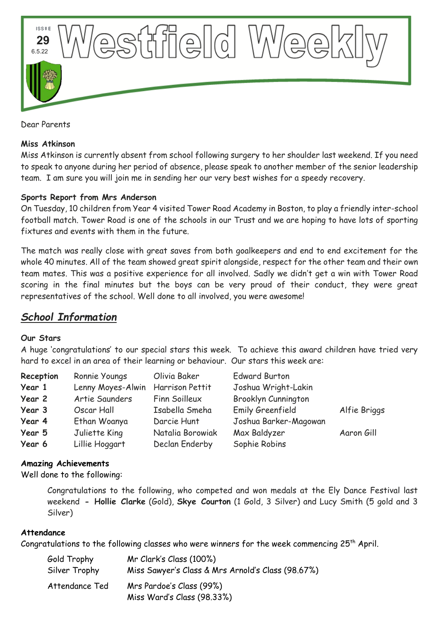

Dear Parents

#### **Miss Atkinson**

Miss Atkinson is currently absent from school following surgery to her shoulder last weekend. If you need to speak to anyone during her period of absence, please speak to another member of the senior leadership team. I am sure you will join me in sending her our very best wishes for a speedy recovery.

### **Sports Report from Mrs Anderson**

On Tuesday, 10 children from Year 4 visited Tower Road Academy in Boston, to play a friendly inter-school football match. Tower Road is one of the schools in our Trust and we are hoping to have lots of sporting fixtures and events with them in the future.

The match was really close with great saves from both goalkeepers and end to end excitement for the whole 40 minutes. All of the team showed great spirit alongside, respect for the other team and their own team mates. This was a positive experience for all involved. Sadly we didn't get a win with Tower Road scoring in the final minutes but the boys can be very proud of their conduct, they were great representatives of the school. Well done to all involved, you were awesome!

# *School Information*

### **Our Stars**

A huge 'congratulations' to our special stars this week. To achieve this award children have tried very hard to excel in an area of their learning or behaviour. Our stars this week are:

| Reception | Ronnie Youngs     | Olivia Baker     | <b>Edward Burton</b>       |              |
|-----------|-------------------|------------------|----------------------------|--------------|
| Year 1    | Lenny Moyes-Alwin | Harrison Pettit  | Joshua Wright-Lakin        |              |
| Year 2    | Artie Saunders    | Finn Soilleux    | <b>Brooklyn Cunnington</b> |              |
| Year 3    | Oscar Hall        | Isabella Smeha   | Emily Greenfield           | Alfie Briggs |
| Year 4    | Ethan Woanya      | Darcie Hunt      | Joshua Barker-Magowan      |              |
| Year 5    | Juliette King     | Natalia Borowiak | Max Baldyzer               | Aaron Gill   |
| Year 6    | Lillie Hoggart    | Declan Enderby   | Sophie Robins              |              |

### **Amazing Achievements**

Well done to the following:

Congratulations to the following, who competed and won medals at the Ely Dance Festival last weekend **- Hollie Clarke** (Gold), **Skye Courton** (1 Gold, 3 Silver) and Lucy Smith (5 gold and 3 Silver)

#### **Attendance**

Congratulations to the following classes who were winners for the week commencing 25<sup>th</sup> April.

| Gold Trophy    | Mr Clark's Class (100%)                           |
|----------------|---------------------------------------------------|
| Silver Trophy  | Miss Sawyer's Class & Mrs Arnold's Class (98.67%) |
| Attendance Ted | Mrs Pardoe's Class (99%)                          |
|                | Miss Ward's Class (98.33%)                        |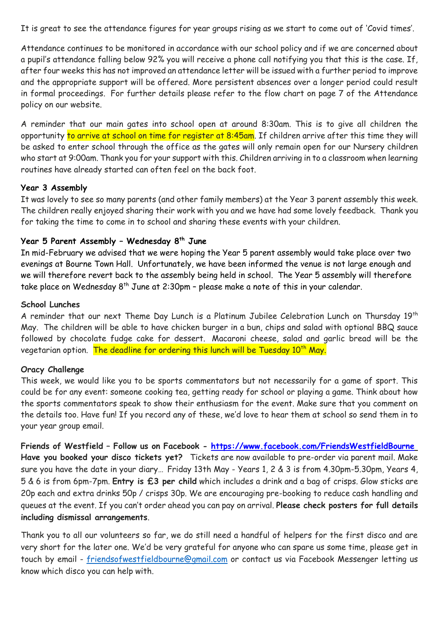It is great to see the attendance figures for year groups rising as we start to come out of 'Covid times'.

Attendance continues to be monitored in accordance with our school policy and if we are concerned about a pupil's attendance falling below 92% you will receive a phone call notifying you that this is the case. If, after four weeks this has not improved an attendance letter will be issued with a further period to improve and the appropriate support will be offered. More persistent absences over a longer period could result in formal proceedings. For further details please refer to the flow chart on page 7 of the Attendance policy on our website.

A reminder that our main gates into school open at around 8:30am. This is to give all children the opportunity to arrive at school on time for register at 8:45am. If children arrive after this time they will be asked to enter school through the office as the gates will only remain open for our Nursery children who start at 9:00am. Thank you for your support with this. Children arriving in to a classroom when learning routines have already started can often feel on the back foot.

### **Year 3 Assembly**

It was lovely to see so many parents (and other family members) at the Year 3 parent assembly this week. The children really enjoyed sharing their work with you and we have had some lovely feedback. Thank you for taking the time to come in to school and sharing these events with your children.

# **Year 5 Parent Assembly – Wednesday 8th June**

In mid-February we advised that we were hoping the Year 5 parent assembly would take place over two evenings at Bourne Town Hall. Unfortunately, we have been informed the venue is not large enough and we will therefore revert back to the assembly being held in school. The Year 5 assembly will therefore take place on Wednesday  $8<sup>th</sup>$  June at 2:30pm - please make a note of this in your calendar.

# **School Lunches**

A reminder that our next Theme Day Lunch is a Platinum Jubilee Celebration Lunch on Thursday 19<sup>th</sup> May. The children will be able to have chicken burger in a bun, chips and salad with optional BBQ sauce followed by chocolate fudge cake for dessert. Macaroni cheese, salad and garlic bread will be the vegetarian option. The deadline for ordering this lunch will be Tuesday 10<sup>th</sup> May.

# **Oracy Challenge**

This week, we would like you to be sports commentators but not necessarily for a game of sport. This could be for any event: someone cooking tea, getting ready for school or playing a game. Think about how the sports commentators speak to show their enthusiasm for the event. Make sure that you comment on the details too. Have fun! If you record any of these, we'd love to hear them at school so send them in to your year group email.

**Friends of Westfield – Follow us on Facebook - <https://www.facebook.com/FriendsWestfieldBourne> Have you booked your disco tickets yet?** Tickets are now available to pre-order via parent mail. Make sure you have the date in your diary… Friday 13th May - Years 1, 2 & 3 is from 4.30pm-5.30pm, Years 4, 5 & 6 is from 6pm-7pm. **Entry is £3 per child** which includes a drink and a bag of crisps. Glow sticks are 20p each and extra drinks 50p / crisps 30p. We are encouraging pre-booking to reduce cash handling and queues at the event. If you can't order ahead you can pay on arrival. **Please check posters for full details including dismissal arrangements**.

Thank you to all our volunteers so far, we do still need a handful of helpers for the first disco and are very short for the later one. We'd be very grateful for anyone who can spare us some time, please get in touch by email - [friendsofwestfieldbourne@gmail.com](mailto:friendsofwestfieldbourne@gmail.com) or contact us via Facebook Messenger letting us know which disco you can help with.